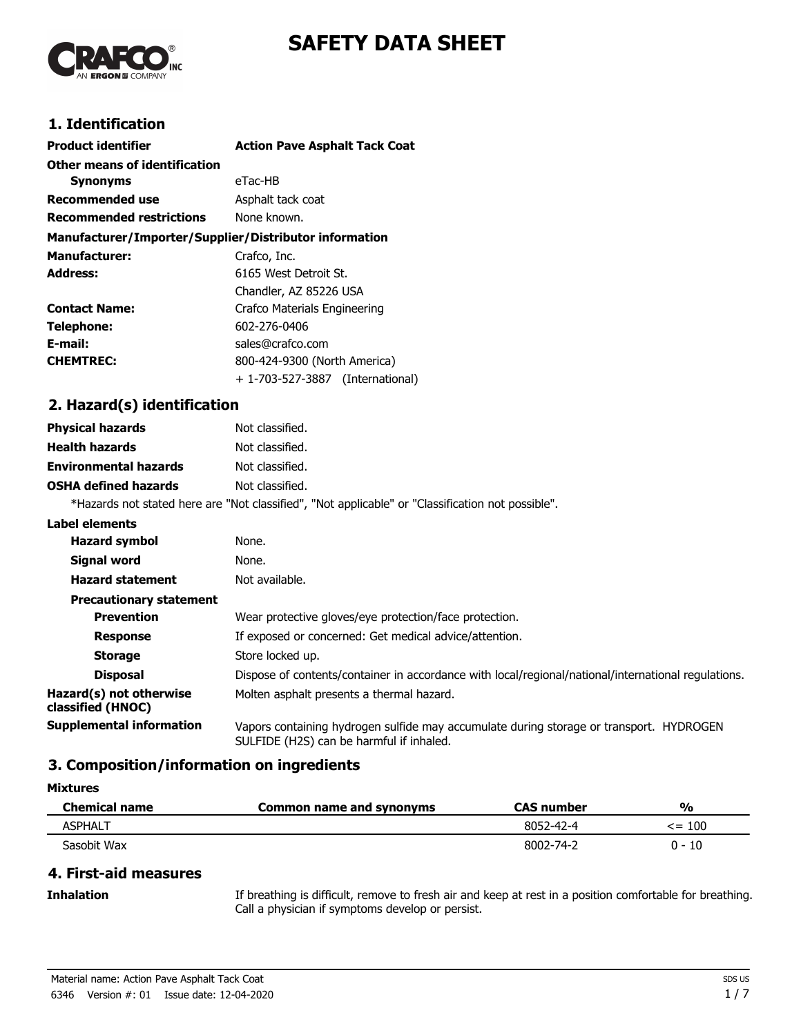



### **1. Identification**

| <b>Product identifier</b>                              | <b>Action Pave Asphalt Tack Coat</b> |
|--------------------------------------------------------|--------------------------------------|
|                                                        |                                      |
| Other means of identification                          |                                      |
| <b>Synonyms</b>                                        | eTac-HB                              |
| Recommended use                                        | Asphalt tack coat                    |
| <b>Recommended restrictions</b>                        | None known.                          |
| Manufacturer/Importer/Supplier/Distributor information |                                      |
| <b>Manufacturer:</b>                                   | Crafco, Inc.                         |
| Address:                                               | 6165 West Detroit St.                |
|                                                        | Chandler, AZ 85226 USA               |
| <b>Contact Name:</b>                                   | Crafco Materials Engineering         |
| Telephone:                                             | 602-276-0406                         |
| E-mail:                                                | sales@crafco.com                     |
| <b>CHEMTREC:</b>                                       | 800-424-9300 (North America)         |
|                                                        | + 1-703-527-3887 (International)     |

# **2. Hazard(s) identification**

| <b>Physical hazards</b>      | Not classified.                                                                                   |
|------------------------------|---------------------------------------------------------------------------------------------------|
| <b>Health hazards</b>        | Not classified.                                                                                   |
| <b>Environmental hazards</b> | Not classified.                                                                                   |
| <b>OSHA defined hazards</b>  | Not classified.                                                                                   |
|                              | *Hazards not stated here are "Not classified", "Not applicable" or "Classification not possible". |

#### **Label elements**

| <b>Hazard symbol</b>                         | None.                                                                                                                               |
|----------------------------------------------|-------------------------------------------------------------------------------------------------------------------------------------|
| Signal word                                  | None.                                                                                                                               |
| <b>Hazard statement</b>                      | Not available.                                                                                                                      |
| <b>Precautionary statement</b>               |                                                                                                                                     |
| <b>Prevention</b>                            | Wear protective gloves/eye protection/face protection.                                                                              |
| <b>Response</b>                              | If exposed or concerned: Get medical advice/attention.                                                                              |
| <b>Storage</b>                               | Store locked up.                                                                                                                    |
| <b>Disposal</b>                              | Dispose of contents/container in accordance with local/regional/national/international regulations.                                 |
| Hazard(s) not otherwise<br>classified (HNOC) | Molten asphalt presents a thermal hazard.                                                                                           |
| Supplemental information                     | Vapors containing hydrogen sulfide may accumulate during storage or transport. HYDROGEN<br>SULFIDE (H2S) can be harmful if inhaled. |

#### **3. Composition/information on ingredients**

| <b>Mixtures</b> |
|-----------------|
|-----------------|

| <b>Chemical name</b> | Common name and synonyms | <b>CAS</b> number | $\frac{0}{0}$ |
|----------------------|--------------------------|-------------------|---------------|
| ASPHALT              |                          | 8052-42-4         | $\le$ = 100   |
| Sasobit Wax          |                          | 8002-74-2         | 0 - 10        |

#### **4. First-aid measures**

If breathing is difficult, remove to fresh air and keep at rest in a position comfortable for breathing. Call a physician if symptoms develop or persist.

**Inhalation**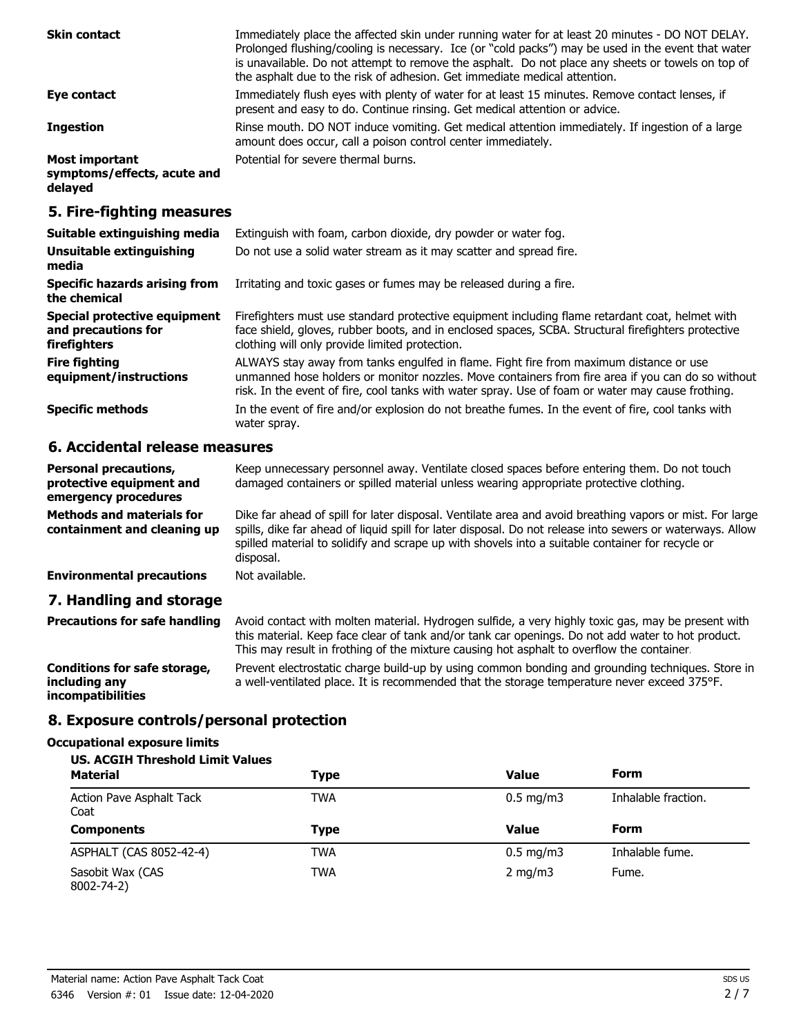| <b>Skin contact</b>                                      | Immediately place the affected skin under running water for at least 20 minutes - DO NOT DELAY.<br>Prolonged flushing/cooling is necessary. Ice (or "cold packs") may be used in the event that water<br>is unavailable. Do not attempt to remove the asphalt. Do not place any sheets or towels on top of<br>the asphalt due to the risk of adhesion. Get immediate medical attention. |
|----------------------------------------------------------|-----------------------------------------------------------------------------------------------------------------------------------------------------------------------------------------------------------------------------------------------------------------------------------------------------------------------------------------------------------------------------------------|
| Eye contact                                              | Immediately flush eyes with plenty of water for at least 15 minutes. Remove contact lenses, if<br>present and easy to do. Continue rinsing. Get medical attention or advice.                                                                                                                                                                                                            |
| <b>Ingestion</b>                                         | Rinse mouth. DO NOT induce vomiting. Get medical attention immediately. If ingestion of a large<br>amount does occur, call a poison control center immediately.                                                                                                                                                                                                                         |
| Most important<br>symptoms/effects, acute and<br>delayed | Potential for severe thermal burns.                                                                                                                                                                                                                                                                                                                                                     |
| 5. Fire-fighting measures                                |                                                                                                                                                                                                                                                                                                                                                                                         |

| Suitable extinguishing media                                        | Extinguish with foam, carbon dioxide, dry powder or water fog.                                                                                                                                                                                                                                   |  |  |
|---------------------------------------------------------------------|--------------------------------------------------------------------------------------------------------------------------------------------------------------------------------------------------------------------------------------------------------------------------------------------------|--|--|
| Unsuitable extinguishing<br>media                                   | Do not use a solid water stream as it may scatter and spread fire.                                                                                                                                                                                                                               |  |  |
| <b>Specific hazards arising from</b><br>the chemical                | Irritating and toxic gases or fumes may be released during a fire.                                                                                                                                                                                                                               |  |  |
| Special protective equipment<br>and precautions for<br>firefighters | Firefighters must use standard protective equipment including flame retardant coat, helmet with<br>face shield, gloves, rubber boots, and in enclosed spaces, SCBA. Structural firefighters protective<br>clothing will only provide limited protection.                                         |  |  |
| <b>Fire fighting</b><br>equipment/instructions                      | ALWAYS stay away from tanks engulfed in flame. Fight fire from maximum distance or use<br>unmanned hose holders or monitor nozzles. Move containers from fire area if you can do so without<br>risk. In the event of fire, cool tanks with water spray. Use of foam or water may cause frothing. |  |  |
| <b>Specific methods</b>                                             | In the event of fire and/or explosion do not breathe fumes. In the event of fire, cool tanks with<br>water spray.                                                                                                                                                                                |  |  |

## **6. Accidental release measures**

| <b>Personal precautions,</b><br>protective equipment and<br>emergency procedures | Keep unnecessary personnel away. Ventilate closed spaces before entering them. Do not touch<br>damaged containers or spilled material unless wearing appropriate protective clothing.                                                                                                                                                  |
|----------------------------------------------------------------------------------|----------------------------------------------------------------------------------------------------------------------------------------------------------------------------------------------------------------------------------------------------------------------------------------------------------------------------------------|
| <b>Methods and materials for</b><br>containment and cleaning up                  | Dike far ahead of spill for later disposal. Ventilate area and avoid breathing vapors or mist. For large<br>spills, dike far ahead of liquid spill for later disposal. Do not release into sewers or waterways. Allow<br>spilled material to solidify and scrape up with shovels into a suitable container for recycle or<br>disposal. |
| <b>Environmental precautions</b>                                                 | Not available.                                                                                                                                                                                                                                                                                                                         |
| 7. Handling and storage                                                          |                                                                                                                                                                                                                                                                                                                                        |
|                                                                                  |                                                                                                                                                                                                                                                                                                                                        |

| <b>Precautions for safe handling</b>                                      | Avoid contact with molten material. Hydrogen sulfide, a very highly toxic gas, may be present with<br>this material. Keep face clear of tank and/or tank car openings. Do not add water to hot product.<br>This may result in frothing of the mixture causing hot asphalt to overflow the container |
|---------------------------------------------------------------------------|-----------------------------------------------------------------------------------------------------------------------------------------------------------------------------------------------------------------------------------------------------------------------------------------------------|
| Conditions for safe storage,<br>including any<br><i>incompatibilities</i> | Prevent electrostatic charge build-up by using common bonding and grounding techniques. Store in<br>a well-ventilated place. It is recommended that the storage temperature never exceed 375°F.                                                                                                     |

## **8. Exposure controls/personal protection**

### **Occupational exposure limits**

| <b>US. ACGIH Threshold Limit Values</b> |             |                        |                     |
|-----------------------------------------|-------------|------------------------|---------------------|
| <b>Material</b>                         | <b>Type</b> | <b>Value</b>           | Form                |
| Action Pave Asphalt Tack<br>Coat        | TWA         | $0.5 \,\mathrm{mg/m3}$ | Inhalable fraction. |
| <b>Components</b>                       | <b>Type</b> | <b>Value</b>           | Form                |
| ASPHALT (CAS 8052-42-4)                 | <b>TWA</b>  | $0.5 \text{ mg/m}$     | Inhalable fume.     |
| Sasobit Wax (CAS<br>8002-74-2)          | <b>TWA</b>  | $2 \text{ mg/m}$       | Fume.               |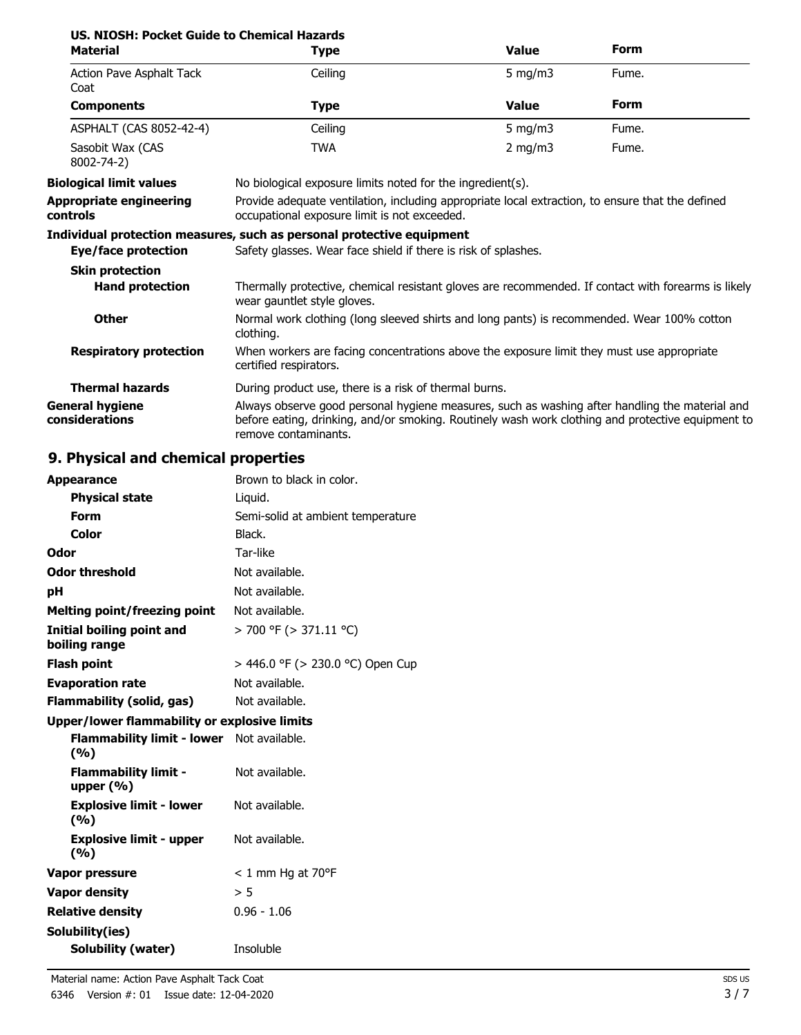| US, NIOSH: Pocket Guide to Chemical Hazards<br><b>Material</b> | <b>Type</b>                                                                                                                                                                                                                 | <b>Value</b>                                               | Form  |  |
|----------------------------------------------------------------|-----------------------------------------------------------------------------------------------------------------------------------------------------------------------------------------------------------------------------|------------------------------------------------------------|-------|--|
| Action Pave Asphalt Tack<br>Coat                               | Ceiling                                                                                                                                                                                                                     | 5 mg/m $3$                                                 | Fume. |  |
| <b>Components</b>                                              | <b>Type</b>                                                                                                                                                                                                                 | <b>Value</b>                                               | Form  |  |
| ASPHALT (CAS 8052-42-4)                                        | Ceiling                                                                                                                                                                                                                     | 5 mg/m $3$                                                 | Fume. |  |
| Sasobit Wax (CAS<br>8002-74-2)                                 | <b>TWA</b>                                                                                                                                                                                                                  | 2 mg/m $3$                                                 | Fume. |  |
| <b>Biological limit values</b>                                 |                                                                                                                                                                                                                             | No biological exposure limits noted for the ingredient(s). |       |  |
| <b>Appropriate engineering</b><br>controls                     | Provide adequate ventilation, including appropriate local extraction, to ensure that the defined<br>occupational exposure limit is not exceeded.                                                                            |                                                            |       |  |
|                                                                | Individual protection measures, such as personal protective equipment                                                                                                                                                       |                                                            |       |  |
| Eye/face protection                                            | Safety glasses. Wear face shield if there is risk of splashes.                                                                                                                                                              |                                                            |       |  |
| <b>Skin protection</b>                                         |                                                                                                                                                                                                                             |                                                            |       |  |
| <b>Hand protection</b>                                         | Thermally protective, chemical resistant gloves are recommended. If contact with forearms is likely<br>wear gauntlet style gloves.                                                                                          |                                                            |       |  |
| <b>Other</b>                                                   | Normal work clothing (long sleeved shirts and long pants) is recommended. Wear 100% cotton<br>clothing.                                                                                                                     |                                                            |       |  |
| <b>Respiratory protection</b>                                  | When workers are facing concentrations above the exposure limit they must use appropriate<br>certified respirators.                                                                                                         |                                                            |       |  |
| <b>Thermal hazards</b>                                         | During product use, there is a risk of thermal burns.                                                                                                                                                                       |                                                            |       |  |
| <b>General hygiene</b><br>considerations                       | Always observe good personal hygiene measures, such as washing after handling the material and<br>before eating, drinking, and/or smoking. Routinely wash work clothing and protective equipment to<br>remove contaminants. |                                                            |       |  |

# **9. Physical and chemical properties**

| <b>Appearance</b>                                   | Brown to black in color.          |
|-----------------------------------------------------|-----------------------------------|
| <b>Physical state</b>                               | Liquid.                           |
| Form                                                | Semi-solid at ambient temperature |
| Color                                               | Black.                            |
| Odor                                                | Tar-like                          |
| <b>Odor threshold</b>                               | Not available.                    |
| рH                                                  | Not available.                    |
| <b>Melting point/freezing point</b>                 | Not available.                    |
| <b>Initial boiling point and</b><br>boiling range   | $>$ 700 °F ( $>$ 371.11 °C)       |
| <b>Flash point</b>                                  | > 446.0 °F (> 230.0 °C) Open Cup  |
| <b>Evaporation rate</b>                             | Not available.                    |
| Flammability (solid, gas)                           | Not available.                    |
| <b>Upper/lower flammability or explosive limits</b> |                                   |
| <b>Flammability limit - lower</b><br>(%)            | Not available.                    |
| <b>Flammability limit -</b><br>upper $(\% )$        | Not available.                    |
| <b>Explosive limit - lower</b><br>(%)               | Not available.                    |
| <b>Explosive limit - upper</b><br>(%)               | Not available.                    |
| Vapor pressure                                      | $< 1$ mm Hg at 70°F               |
| <b>Vapor density</b>                                | > 5                               |
| <b>Relative density</b>                             | $0.96 - 1.06$                     |
| Solubility(ies)                                     |                                   |
| <b>Solubility (water)</b>                           | Insoluble                         |
|                                                     |                                   |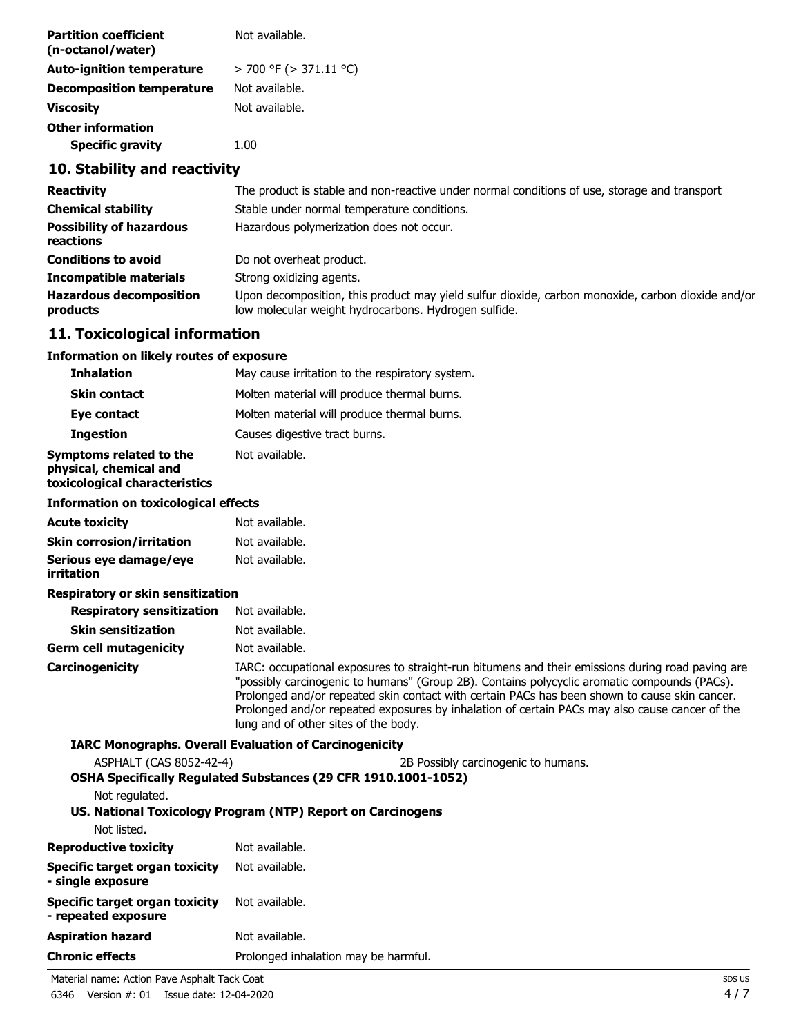| <b>Partition coefficient</b><br>(n-octanol/water) | Not available.         |
|---------------------------------------------------|------------------------|
| <b>Auto-ignition temperature</b>                  | > 700 °F (> 371.11 °C) |
| <b>Decomposition temperature</b>                  | Not available.         |
| <b>Viscosity</b>                                  | Not available.         |
| <b>Other information</b>                          |                        |
| <b>Specific gravity</b>                           | 1.00                   |

## **10. Stability and reactivity**

| <b>Reactivity</b>                            | The product is stable and non-reactive under normal conditions of use, storage and transport                                                              |
|----------------------------------------------|-----------------------------------------------------------------------------------------------------------------------------------------------------------|
| <b>Chemical stability</b>                    | Stable under normal temperature conditions.                                                                                                               |
| <b>Possibility of hazardous</b><br>reactions | Hazardous polymerization does not occur.                                                                                                                  |
| <b>Conditions to avoid</b>                   | Do not overheat product.                                                                                                                                  |
| <b>Incompatible materials</b>                | Strong oxidizing agents.                                                                                                                                  |
| <b>Hazardous decomposition</b><br>products   | Upon decomposition, this product may yield sulfur dioxide, carbon monoxide, carbon dioxide and/or<br>low molecular weight hydrocarbons. Hydrogen sulfide. |

## **11. Toxicological information**

#### **Information on likely routes of exposure**

| <b>Inhalation</b>                                                                                             | May cause irritation to the respiratory system.                                                                                                                                                                                                                                                                                                                                                                                             |
|---------------------------------------------------------------------------------------------------------------|---------------------------------------------------------------------------------------------------------------------------------------------------------------------------------------------------------------------------------------------------------------------------------------------------------------------------------------------------------------------------------------------------------------------------------------------|
| <b>Skin contact</b>                                                                                           | Molten material will produce thermal burns.                                                                                                                                                                                                                                                                                                                                                                                                 |
| Eye contact                                                                                                   | Molten material will produce thermal burns.                                                                                                                                                                                                                                                                                                                                                                                                 |
| <b>Ingestion</b>                                                                                              | Causes digestive tract burns.                                                                                                                                                                                                                                                                                                                                                                                                               |
| Symptoms related to the<br>physical, chemical and<br>toxicological characteristics                            | Not available.                                                                                                                                                                                                                                                                                                                                                                                                                              |
| <b>Information on toxicological effects</b>                                                                   |                                                                                                                                                                                                                                                                                                                                                                                                                                             |
| <b>Acute toxicity</b>                                                                                         | Not available.                                                                                                                                                                                                                                                                                                                                                                                                                              |
| <b>Skin corrosion/irritation</b>                                                                              | Not available.                                                                                                                                                                                                                                                                                                                                                                                                                              |
| Serious eye damage/eye<br>irritation                                                                          | Not available.                                                                                                                                                                                                                                                                                                                                                                                                                              |
| Respiratory or skin sensitization                                                                             |                                                                                                                                                                                                                                                                                                                                                                                                                                             |
| <b>Respiratory sensitization</b>                                                                              | Not available.                                                                                                                                                                                                                                                                                                                                                                                                                              |
| <b>Skin sensitization</b>                                                                                     | Not available.                                                                                                                                                                                                                                                                                                                                                                                                                              |
| <b>Germ cell mutagenicity</b>                                                                                 | Not available.                                                                                                                                                                                                                                                                                                                                                                                                                              |
| Carcinogenicity                                                                                               | IARC: occupational exposures to straight-run bitumens and their emissions during road paving are<br>"possibly carcinogenic to humans" (Group 2B). Contains polycyclic aromatic compounds (PACs).<br>Prolonged and/or repeated skin contact with certain PACs has been shown to cause skin cancer.<br>Prolonged and/or repeated exposures by inhalation of certain PACs may also cause cancer of the<br>lung and of other sites of the body. |
|                                                                                                               | <b>IARC Monographs. Overall Evaluation of Carcinogenicity</b>                                                                                                                                                                                                                                                                                                                                                                               |
| ASPHALT (CAS 8052-42-4)                                                                                       | 2B Possibly carcinogenic to humans.                                                                                                                                                                                                                                                                                                                                                                                                         |
|                                                                                                               | OSHA Specifically Regulated Substances (29 CFR 1910.1001-1052)                                                                                                                                                                                                                                                                                                                                                                              |
| Not regulated.                                                                                                |                                                                                                                                                                                                                                                                                                                                                                                                                                             |
| Not listed.                                                                                                   | US. National Toxicology Program (NTP) Report on Carcinogens                                                                                                                                                                                                                                                                                                                                                                                 |
| <b>Reproductive toxicity</b>                                                                                  | Not available.                                                                                                                                                                                                                                                                                                                                                                                                                              |
| the state of the company of the state of the state of the state of the state of the state of the state of the |                                                                                                                                                                                                                                                                                                                                                                                                                                             |

| <b>REPRODUCTIVE COXICITY</b>                          | ivul available.                      |
|-------------------------------------------------------|--------------------------------------|
| Specific target organ toxicity<br>- single exposure   | Not available.                       |
| Specific target organ toxicity<br>- repeated exposure | Not available.                       |
| <b>Aspiration hazard</b>                              | Not available.                       |
| <b>Chronic effects</b>                                | Prolonged inhalation may be harmful. |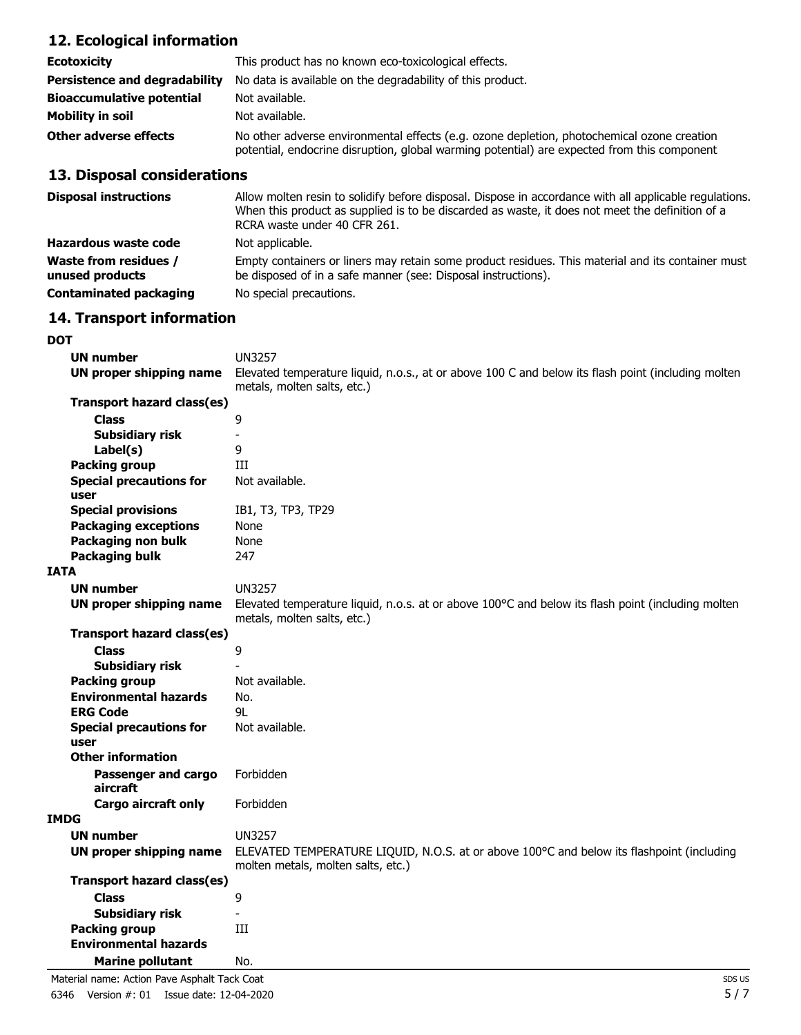# **12. Ecological information**

| <b>Ecotoxicity</b>                   | This product has no known eco-toxicological effects.                                                                                                                                      |
|--------------------------------------|-------------------------------------------------------------------------------------------------------------------------------------------------------------------------------------------|
| <b>Persistence and degradability</b> | No data is available on the degradability of this product.                                                                                                                                |
| <b>Bioaccumulative potential</b>     | Not available.                                                                                                                                                                            |
| Mobility in soil                     | Not available.                                                                                                                                                                            |
| Other adverse effects                | No other adverse environmental effects (e.g. ozone depletion, photochemical ozone creation<br>potential, endocrine disruption, global warming potential) are expected from this component |

# **13. Disposal considerations**

| <b>Disposal instructions</b>                    | Allow molten resin to solidify before disposal. Dispose in accordance with all applicable regulations.<br>When this product as supplied is to be discarded as waste, it does not meet the definition of a<br>RCRA waste under 40 CFR 261. |
|-------------------------------------------------|-------------------------------------------------------------------------------------------------------------------------------------------------------------------------------------------------------------------------------------------|
| Hazardous waste code                            | Not applicable.                                                                                                                                                                                                                           |
| <b>Waste from residues /</b><br>unused products | Empty containers or liners may retain some product residues. This material and its container must<br>be disposed of in a safe manner (see: Disposal instructions).                                                                        |
| <b>Contaminated packaging</b>                   | No special precautions.                                                                                                                                                                                                                   |

### **14. Transport information**

**DOT**

| <b>UN number</b>                             | <b>UN3257</b>                                                                                                                     |
|----------------------------------------------|-----------------------------------------------------------------------------------------------------------------------------------|
| UN proper shipping name                      | Elevated temperature liquid, n.o.s., at or above 100 C and below its flash point (including molten<br>metals, molten salts, etc.) |
| Transport hazard class(es)                   |                                                                                                                                   |
| <b>Class</b>                                 | 9                                                                                                                                 |
| <b>Subsidiary risk</b>                       |                                                                                                                                   |
| Label(s)                                     | 9                                                                                                                                 |
| <b>Packing group</b>                         | Ш                                                                                                                                 |
| <b>Special precautions for</b>               | Not available.                                                                                                                    |
| user                                         |                                                                                                                                   |
| <b>Special provisions</b>                    | IB1, T3, TP3, TP29                                                                                                                |
| <b>Packaging exceptions</b>                  | None                                                                                                                              |
| Packaging non bulk                           | None                                                                                                                              |
| <b>Packaging bulk</b>                        | 247                                                                                                                               |
| <b>IATA</b>                                  |                                                                                                                                   |
| <b>UN number</b>                             | <b>UN3257</b>                                                                                                                     |
| UN proper shipping name                      | Elevated temperature liquid, n.o.s. at or above 100°C and below its flash point (including molten<br>metals, molten salts, etc.)  |
| Transport hazard class(es)                   |                                                                                                                                   |
| <b>Class</b>                                 | 9                                                                                                                                 |
| <b>Subsidiary risk</b>                       |                                                                                                                                   |
| <b>Packing group</b>                         | Not available.                                                                                                                    |
| <b>Environmental hazards</b>                 | No.                                                                                                                               |
| <b>ERG Code</b>                              | 91                                                                                                                                |
| <b>Special precautions for</b>               | Not available.                                                                                                                    |
| user<br><b>Other information</b>             |                                                                                                                                   |
|                                              |                                                                                                                                   |
| Passenger and cargo<br>aircraft              | Forbidden                                                                                                                         |
| Cargo aircraft only                          | Forbidden                                                                                                                         |
| <b>IMDG</b>                                  |                                                                                                                                   |
| <b>UN number</b>                             | <b>UN3257</b>                                                                                                                     |
| UN proper shipping name                      | ELEVATED TEMPERATURE LIQUID, N.O.S. at or above 100°C and below its flashpoint (including<br>molten metals, molten salts, etc.)   |
| Transport hazard class(es)                   |                                                                                                                                   |
| <b>Class</b>                                 | 9                                                                                                                                 |
| <b>Subsidiary risk</b>                       |                                                                                                                                   |
| <b>Packing group</b>                         | Ш                                                                                                                                 |
| <b>Environmental hazards</b>                 |                                                                                                                                   |
| <b>Marine pollutant</b>                      | No.                                                                                                                               |
| Material name: Action Pave Asphalt Tack Coat | SDS <sub>L</sub>                                                                                                                  |

6346 Version #: 01 Issue date: 12-04-2020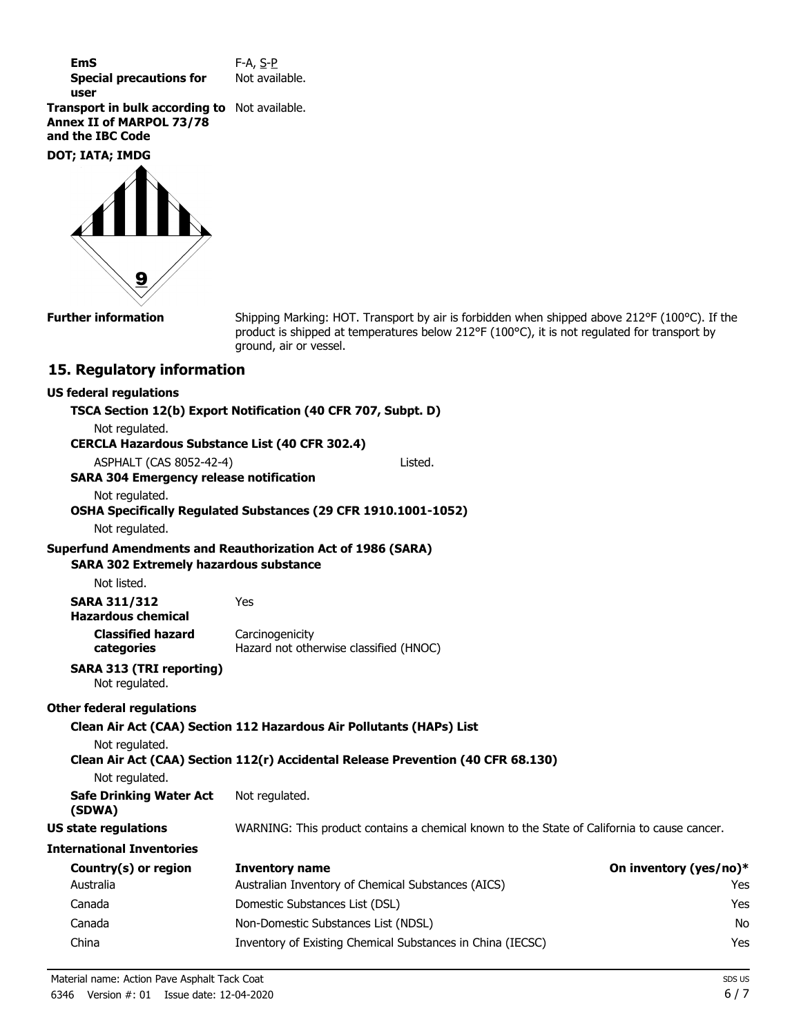| EmS                            | F-A, S-P       |
|--------------------------------|----------------|
| <b>Special precautions for</b> | Not available. |
| user                           |                |

**Transport in bulk according to** Not available. **Annex II of MARPOL 73/78 and the IBC Code**

**DOT; IATA; IMDG**



**Further information**

Shipping Marking: HOT. Transport by air is forbidden when shipped above 212°F (100°C). If the product is shipped at temperatures below 212°F (100°C), it is not regulated for transport by ground, air or vessel.

#### **15. Regulatory information**

#### **US federal regulations**

| Not regulated.                                        | TSCA Section 12(b) Export Notification (40 CFR 707, Subpt. D)                               |                        |
|-------------------------------------------------------|---------------------------------------------------------------------------------------------|------------------------|
| <b>CERCLA Hazardous Substance List (40 CFR 302.4)</b> |                                                                                             |                        |
| ASPHALT (CAS 8052-42-4)                               | Listed.                                                                                     |                        |
| <b>SARA 304 Emergency release notification</b>        |                                                                                             |                        |
| Not regulated.                                        |                                                                                             |                        |
| Not regulated.                                        | OSHA Specifically Regulated Substances (29 CFR 1910.1001-1052)                              |                        |
| <b>SARA 302 Extremely hazardous substance</b>         | <b>Superfund Amendments and Reauthorization Act of 1986 (SARA)</b>                          |                        |
| Not listed.                                           |                                                                                             |                        |
| <b>SARA 311/312</b><br><b>Hazardous chemical</b>      | Yes                                                                                         |                        |
| <b>Classified hazard</b><br>categories                | Carcinogenicity<br>Hazard not otherwise classified (HNOC)                                   |                        |
| <b>SARA 313 (TRI reporting)</b><br>Not regulated.     |                                                                                             |                        |
| <b>Other federal regulations</b>                      |                                                                                             |                        |
|                                                       | Clean Air Act (CAA) Section 112 Hazardous Air Pollutants (HAPs) List                        |                        |
| Not regulated.                                        | Clean Air Act (CAA) Section 112(r) Accidental Release Prevention (40 CFR 68.130)            |                        |
| Not regulated.                                        |                                                                                             |                        |
| <b>Safe Drinking Water Act</b><br>(SDWA)              | Not regulated.                                                                              |                        |
| <b>US state regulations</b>                           | WARNING: This product contains a chemical known to the State of California to cause cancer. |                        |
| <b>International Inventories</b>                      |                                                                                             |                        |
| Country(s) or region                                  | <b>Inventory name</b>                                                                       | On inventory (yes/no)* |
| Australia                                             | Australian Inventory of Chemical Substances (AICS)                                          | Yes                    |
| Canada                                                | Domestic Substances List (DSL)                                                              | Yes                    |
| Canada                                                | Non-Domestic Substances List (NDSL)                                                         | No                     |
| China                                                 | Inventory of Existing Chemical Substances in China (IECSC)                                  | Yes                    |